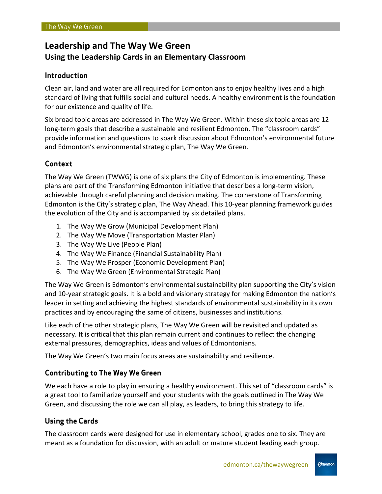# **Leadership and The Way We Green Using the Leadership Cards in an Elementary Classroom**

# **Introduction**

Clean air, land and water are all required for Edmontonians to enjoy healthy lives and a high standard of living that fulfills social and cultural needs. A healthy environment is the foundation for our existence and quality of life.

Six broad topic areas are addressed in The Way We Green. Within these six topic areas are 12 long-term goals that describe a sustainable and resilient Edmonton. The "classroom cards" provide information and questions to spark discussion about Edmonton's environmental future and Edmonton's environmental strategic plan, The Way We Green.

## **Context**

The Way We Green (TWWG) is one of six plans the City of Edmonton is implementing. These plans are part of the Transforming Edmonton initiative that describes a long-term vision, achievable through careful planning and decision making. The cornerstone of Transforming Edmonton is the City's strategic plan, The Way Ahead. This 10-year planning framework guides the evolution of the City and is accompanied by six detailed plans.

- 1. The Way We Grow (Municipal Development Plan)
- 2. The Way We Move (Transportation Master Plan)
- 3. The Way We Live (People Plan)
- 4. The Way We Finance (Financial Sustainability Plan)
- 5. The Way We Prosper (Economic Development Plan)
- 6. The Way We Green (Environmental Strategic Plan)

The Way We Green is Edmonton's environmental sustainability plan supporting the City's vision and 10-year strategic goals. It is a bold and visionary strategy for making Edmonton the nation's leader in setting and achieving the highest standards of environmental sustainability in its own practices and by encouraging the same of citizens, businesses and institutions.

Like each of the other strategic plans, The Way We Green will be revisited and updated as necessary. It is critical that this plan remain current and continues to reflect the changing external pressures, demographics, ideas and values of Edmontonians.

The Way We Green's two main focus areas are sustainability and resilience.

## **Contributing to The Way We Green**

We each have a role to play in ensuring a healthy environment. This set of "classroom cards" is a great tool to familiarize yourself and your students with the goals outlined in The Way We Green, and discussing the role we can all play, as leaders, to bring this strategy to life.

## **Using the Cards**

The classroom cards were designed for use in elementary school, grades one to six. They are meant as a foundation for discussion, with an adult or mature student leading each group.